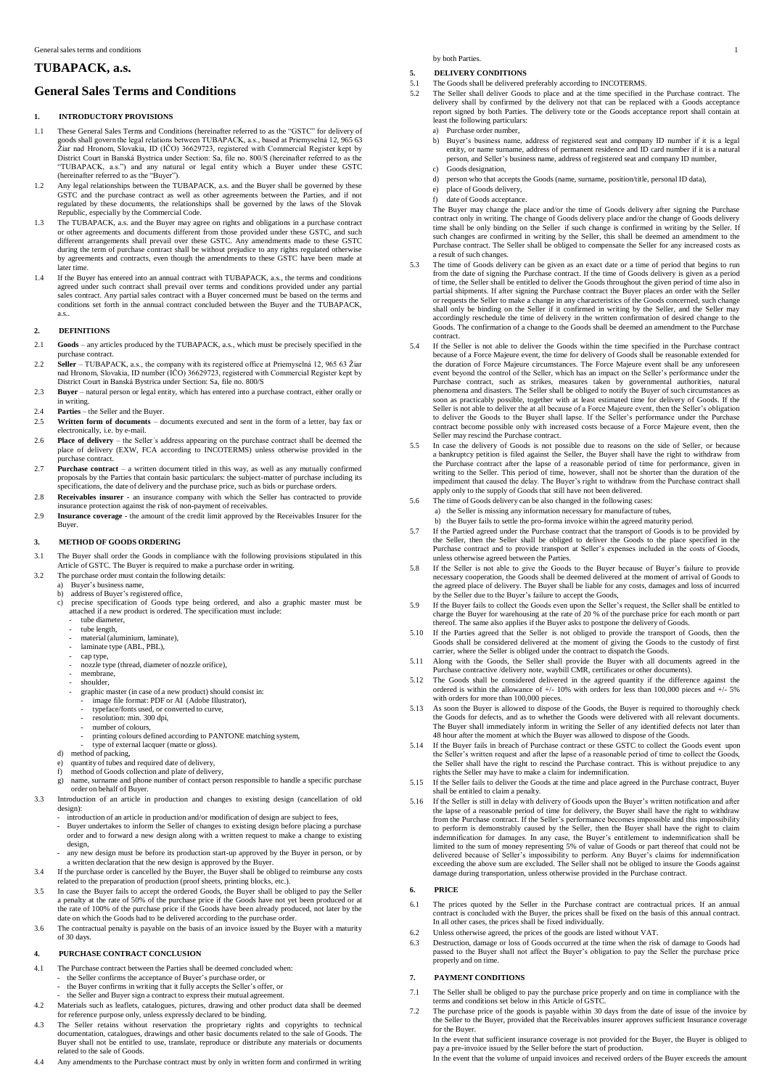# **TUBAPACK, a.s.**

# **General Sales Terms and Conditions**

#### **1. INTRODUCTORY PROVISIONS**

- 1.1 These General Sales Terms and Conditions (hereinafter referred to as the "GSTC" for delivery of goods shall govern the legal relations between TUBAPACK, a.s., based at Priemyselná 12, 965 63 Žiar nad Hronom, Slovakia, ID (IČO) 36629723, registered with Commercial Register kept by District Court in Banská Bystrica under Section: Sa, file no. 800/S (hereinafter referred to as the "TUBAPACK, a.s.") and any natural or legal entity which a Buyer under these GSTC (hereinafter referred to as the "Buyer").
- Any legal relationships between the TUBAPACK, a.s. and the Buyer shall be governed by these GSTC and the purchase contract as well as other agreements between the Parties, and if not regulated by these documents, the relationships shall be governed by the laws of the Slovak Republic, especially by the Commercial Code.
- 1.3 The TUBAPACK, a.s. and the Buyer may agree on rights and obligations in a purchase contract<br>or other agreements and documents different from those provided under these GSTC, and such<br>different arrangements shall prevai later time.
- 1.4 If the Buyer has entered into an annual contract with TUBAPACK, a.s., the terms and conditions agreed under such contract shall prevail over terms and conditions provided under any partial<br>sales contract. Any partial sales contract with a Buyer concerned must be based on the terms and<br>conditions set forth in the ann a.s..

### **2. DEFINITIONS**

- 2.1 **Goods**  any articles produced by the TUBAPACK, a.s., which must be precisely specified in the purchase contract.
- 2.2 **Seller**  TUBAPACK, a.s., the company with its registered office at Priemyselná 12, 965 63 Žiar nad Hronom, Slovakia, ID number (IČO) 36629723, registered with Commercial Register kept by District Court in Banská Bystrica under Section: Sa, file no. 800/S
- 2.3 **Buyer**  natural person or legal entity, which has entered into a purchase contract, either orally or in writing.
- 2.4 **Parties** the Seller and the Buyer.<br>2.5 **Written form of documents** d
- Written form of documents documents executed and sent in the form of a letter, bay fax or electronically, i.e. by e-mail.
- 2.6 **Place of delivery**  the Seller´s address appearing on the purchase contract shall be deemed the place of delivery (EXW, FCA according to INCOTERMS) unless otherwise provided in the purchase contract.
- 2.7 **Purchase contract**  a written document titled in this way, as well as any mutually confirmed proposals by the Parties that contain basic particulars: the subject-matter of purchase including its specifications, the date of delivery and the purchase price, such as bids or purchase orders.
- 2.8 **Receivables insurer** an insurance company with which the Seller has contracted to provide insurance protection against the risk of non-payment of receivables.
- 2.9 **Insurance coverage** the amount of the credit limit approved by the Receivables Insurer for the Buyer.

#### **3. METHOD OF GOODS ORDERING**

- 3.1 The Buyer shall order the Goods in compliance with the following provisions stipulated in this Article of GSTC. The Buyer is required to make a purchase order in writing.
- 3.2 The purchase order must contain the following details:
	- a) Buyer's business name,<br>b) address of Buyer's regis
		-
		- b) address of Buyer's registered office, c) precise specification of Goods type being ordered, and also a graphic master must be attached if a new product is ordered. The specification must include: tube diameter.
			- tube length,
			-
			- material(aluminium, laminate), laminate type (ABL, PBL),
			-
			- cap type, nozzle type (thread, diameter of nozzle orifice),
			- membrane, shoulder,
			-
			- graphic master (in case of a new product) should consist in: image file format: PDF or AI (Adobe Illustrator),
			- typeface/fonts used, or converted to curve,
			- resolution: min. 300 dpi,
			- number of colours,
			- printing colours defined according to PANTONE matching system,
			- type of external lacquer (matte or gloss).
			-
		- d) method of packing, e) quantity of tubes and required date of delivery, f) method of Goods collection and plate of delivery,
		-
- g) name, surname and phone number of contact person responsible to handle a specific purchase order on behalf of Buyer. 3.3 Introduction of an article in production and changes to existing design (cancellation of old
	- design):
	- introduction of an article in production and/or modification of design are subject to fees - Buyer undertakes to inform the Seller of changes to existing design before placing a purchase order and to forward a new design along with a written request to make a change to existing design,
- any new design must be before its production start-up approved by the Buyer in person, or by a written declaration that the new design is approved by the Buyer. 3.4 If the purchase order is cancelled by the Buyer, the Buyer shall be obliged to reimburse any costs
- related to the preparation of production (proof sheets, printing blocks, etc.).
- 3.5 In case the Buyer fails to accept the ordered Goods, the Buyer shall be obliged to pay the Seller a penalty at the rate of 50% of the purchase price if the Goods have not yet been produced or at the rate of 100% of the purchase price if the Goods have been already produced, not later by the date on which the Goods had to be delivered according to the purchase order.
- 3.6 The contractual penalty is payable on the basis of an invoice issued by the Buyer with a maturity of 30 days.

#### **4. PURCHASE CONTRACT CONCLUSION**

- 4.1 The Purchase contract between the Parties shall be deemed concluded when:
	-
	- the Seller confirms the acceptance of Buyer's purchase order, or the Buyer confirms in writing that it fully accepts the Seller's offer, or the Seller and Buyer sign a contract to express their mutual agreement.
- 4.2 Materials such as leaflets, catalogues, pictures, drawing and other product data shall be deemed
- for reference purpose only, unless expressly declared to be binding. 4.3 The Seller retains without reservation the proprietary rights and copyrights to technical documentation, catalogues, drawings and other basic documents related to the sale of Goods. The Buyer shall not be entitled to use, translate, reproduce or distribute any materials or documents related to the sale of Goods.
- 4.4 Any amendments to the Purchase contract must by only in written form and confirmed in writing

by both Parties.

# **5. DELIVERY CONDITIONS**<br>5.1 The Goods shall be delivered

- 5.1 The Goods shall be delivered preferably according to INCOTERMS.<br>5.2 The Seller shall deliver Goods to place and at the time specified in
- 5.2 The Seller shall deliver Goods to place and at the time specified in the Purchase contract. The delivery shall by confirmed by the delivery not that can be replaced with a Goods acceptance report signed by both Parties. The delivery tote or the Goods acceptance report shall contain at least the following particulars:
	- a) Purchase order number,
	- b) Buyer's business name, address of registered seat and company ID number if it is a legal entity, or name surname, address of permanent residence and ID card number if it is a natural person, and Seller's business name, address of registered seat and company ID number, c) Goods designation,
	- d) person who that accepts the Goods (name, surname, position/title, personal ID data),
		-
	- e) place of Goods delivery,<br>f) date of Goods acceptance date of Goods acceptance

The Buyer may change the place and/or the time of Goods delivery after signing the Purchase contract only in writing. The change of Goods delivery place and/or the change of Goods delivery time shall be only binding on the Seller if such change is confirmed in writing by the Seller. If<br>such changes are confirmed in writing by the Seller, this shall be deemed an amendment to the<br>Purchase contract. The Seller a result of such changes.

- The time of Goods delivery can be given as an exact date or a time of period that begins to run from the date of signing the Purchase contract. If the time of Goods delivery is given as a period of time, the Seller shall be entitled to deliver the Goods throughout the given period of time also in partial shipments. If after signing the Purchase contract the Buyer places an order with the Seller or requests the Seller to make a change in any characteristics of the Goods concerned, such change shall only be binding on the Seller if it confirmed in writing by the Seller, and the Seller may accordingly reschedule the time of delivery in the written confirmation of desired change to the Goods. The confirmation of a change to the Goods shall be deemed an amendment to the Purchase contract.
- 5.4 If the Seller is not able to deliver the Goods within the time specified in the Purchase contract because of a Force Majeure event, the time for delivery of Goods shall be reasonable extended for the duration of Force Majeure circumstances. The Force Majeure event shall be any unforeseen event beyond the control of the Seller, which has an impact on the Seller's performance under the Purchase contract, such as strikes, measures taken by governmental authorities, natural phenomena and disasters. The Seller shall be obliged to notify the Buyer of such circumstances as<br>soon as practicably possible, together with at least estimated time for delivery of Goods. If the<br>Seller is not able to deli contract become possible only with increased costs because of a Force Majeure event, then the Seller may rescind the Purchase contract.
- 5.5 In case the delivery of Goods is not possible due to reasons on the side of Seller, or because a bankruptcy petition is filed against the Seller, the Buyer shall have the right to withdraw from<br>the Purchase contract after the lapse of a reasonable period of time for performance, given in<br>writing to the Seller. This impediment that caused the delay. The Buyer's right to withdraw from the Purchase contract shall apply only to the supply of Goods that still have not been delivered.
- The time of Goods delivery can be also changed in the following cases
- a) the Seller is missing any information necessary for manufacture of tubes,
- b) the Buyer fails to settle the pro-forma invoice within the agreed maturity period.<br>5.7 If the Partied agreed under the Purchase contract that the transport of Goods is to be provided by
- the Seller, then the Seller shall be obliged to deliver the Goods to the place specified in the Purchase contract and to provide transport at Seller's expenses included in the costs of Goods, unless otherwise agreed between the Parties. 5.8 If the Seller is not able to give the Goods to the Buyer because of Buyer's failure to provide necessary cooperation, the Goods shall be deemed delivered at the moment of arrival of Goods to
- the agreed place of delivery. The Buyer shall be liable for any costs, damages and loss of incurred by the Seller due to the Buyer's failure to accept the Goods,
- 5.9 If the Buyer fails to collect the Goods even upon the Seller's request, the Seller shall be entitled to charge the Buyer for warehousing at the rate of 20 % of the purchase price for each month or part thereof. The same also applies if the Buyer asks to postpone the delivery of Goods.
- 5.10 If the Parties agreed that the Seller is not obliged to provide the transport of Goods, then the Goods shall be considered atle belivered at the moment of giving the Goods to the custody of first carrier, where the Se
- 5.11 Along with the Goods, the Seller shall provide the Buyer with all documents agreed in the
- Purchase contractive /delivery note, waybill CMR, certificates or other documents). 5.12 The Goods shall be considered delivered in the agreed quantity if the difference against the ordered is within the allowance of  $+/$ - 10% with orders for less than 100,000 pieces and  $+/$ - 5% with orders for more than 100,000 pieces.
- 5.13 As soon the Buyer is allowed to dispose of the Goods, the Buyer is required to thoroughly check the Goods for defects, and as to whether the Goods were delivered with all relevant documents. The Buyer shall immediately inform in writing the Seller of any identified defects not later than
- 48 hour after the moment at which the Buyer was allowed to dispose of the Goods. 5.14 If the Buyer fails in breach of Purchase contract or these GSTC to collect the Goods event upon the Seller's written request and after the lapse of a reasonable period of time to collect the Goods, the Seller shall have the right to rescind the Purchase contract. This is without prejudice to any rights the Seller may have to make a claim for indemnification.
- 5.15 If the Seller fails to deliver the Goods at the time and place agreed in the Purchase contract, Buyer shall be entitled to claim a penalty.
- 5.16 If the Seller is still in delay with delivery of Goods upon the Buyer's written notification and after the lapse of a reasonable period of time for delivery, the Buyer shall have the right to withdraw<br>from the Purchase contract. If the Seller's performance becomes impossible and this impossibility<br>to perform is demonstrably indemnification for damages. In any case, the Buyer's entitlement to indemnification shall be limited to the sum of money representing 5% of value of Goods or part thereof that could not be delivered because of Seller's impossibility to perform. Any Buyer's claims for indemnification exceeding the above sum are excluded. The Seller shall not be obliged to insure the Goods against damage during transportation, unless otherwise provided in the Purchase contract.

# **6. PRICE**

- 6.1 The prices quoted by the Seller in the Purchase contract are contractual prices. If an annual contract is concluded with the Buyer, the prices shall be fixed on the basis of this annual contract. In all other cases, the prices shall be fixed individually.
- 6.2 Unless otherwise agreed, the prices of the goods are listed without VAT.
- 6.3 Destruction, damage or loss of Goods occurred at the time when the risk of damage to Goods had passed to the Buyer shall not affect the Buyer's obligation to pay the Seller the purchase price properly and on time.

#### **7. PAYMENT CONDITIONS**

- 7.1 The Seller shall be obliged to pay the purchase price properly and on time in compliance with the terms and conditions set below in this Article of GSTC.
- 7.2 The purchase price of the goods is payable within 30 days from the date of issue of the invoice by the Seller to the Buyer, provided that the Receivables insurer approves sufficient Insurance coverage for the Buyer. In the event that sufficient insurance coverage is not provided for the Buyer, the Buyer is obliged to

pay a pre-invoice issued by the Seller before the start of production. In the event that the volume of unpaid invoices and received orders of the Buyer exceeds the amount